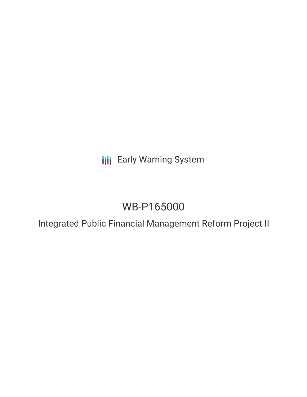**III** Early Warning System

# WB-P165000

Integrated Public Financial Management Reform Project II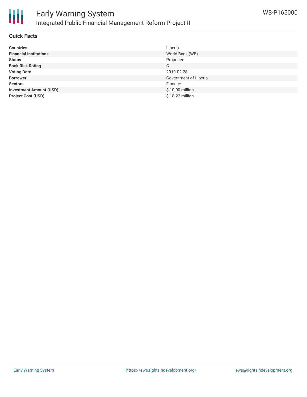

#### **Quick Facts**

| <b>Countries</b>               | Liberia               |
|--------------------------------|-----------------------|
| <b>Financial Institutions</b>  | World Bank (WB)       |
| <b>Status</b>                  | Proposed              |
| <b>Bank Risk Rating</b>        | C                     |
| <b>Voting Date</b>             | 2019-02-28            |
| <b>Borrower</b>                | Government of Liberia |
| <b>Sectors</b>                 | Finance               |
| <b>Investment Amount (USD)</b> | \$10.00 million       |
| <b>Project Cost (USD)</b>      | $$18.22$ million      |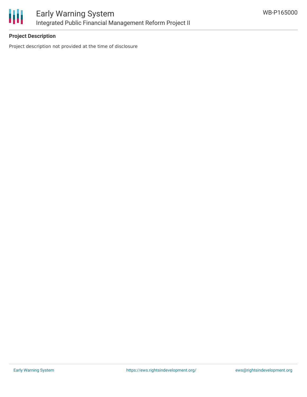

## **Project Description**

Project description not provided at the time of disclosure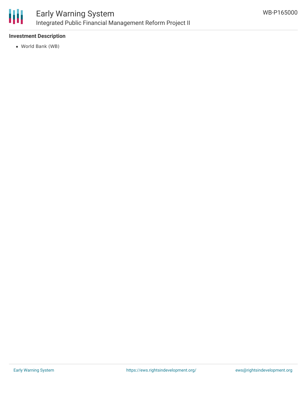

### **Investment Description**

World Bank (WB)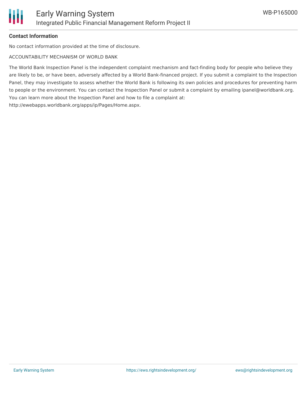### **Contact Information**

No contact information provided at the time of disclosure.

ACCOUNTABILITY MECHANISM OF WORLD BANK

The World Bank Inspection Panel is the independent complaint mechanism and fact-finding body for people who believe they are likely to be, or have been, adversely affected by a World Bank-financed project. If you submit a complaint to the Inspection Panel, they may investigate to assess whether the World Bank is following its own policies and procedures for preventing harm to people or the environment. You can contact the Inspection Panel or submit a complaint by emailing ipanel@worldbank.org. You can learn more about the Inspection Panel and how to file a complaint at: http://ewebapps.worldbank.org/apps/ip/Pages/Home.aspx.